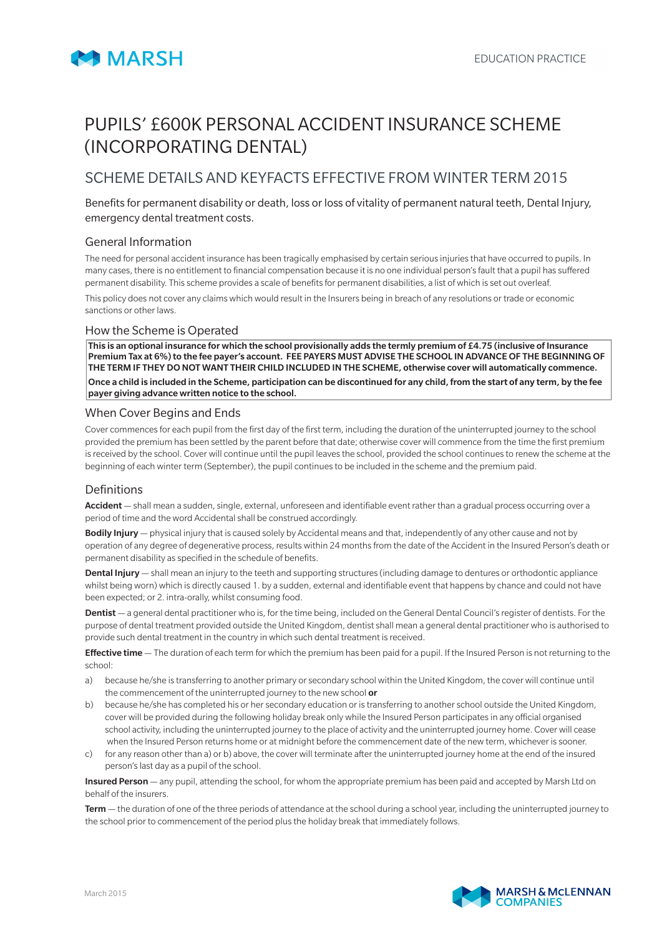

# PUPILS' £600K PERSONAL ACCIDENT INSURANCE SCHEME (INCORPORATING DENTAL)

## SCHEME DETAILS AND KEYFACTS EFFECTIVE FROM WINTER TERM 2015

Benefits for permanent disability or death, loss or loss of vitality of permanent natural teeth, Dental Injury, emergency dental treatment costs.

## General Information

The need for personal accident insurance has been tragically emphasised by certain serious injuries that have occurred to pupils. In many cases, there is no entitlement to financial compensation because it is no one individual person's fault that a pupil has suffered permanent disability. This scheme provides a scale of benefits for permanent disabilities, a list of which is set out overleaf.

This policy does not cover any claims which would result in the Insurers being in breach of any resolutions or trade or economic sanctions or other laws.

#### How the Scheme is Operated

This is an optional insurance for which the school provisionally adds the termly premium of £4.75 (inclusive of Insurance Premium Tax at 6%) to the fee payer's account. FEE PAYERS MUST ADVISE THE SCHOOL IN ADVANCE OF THE BEGINNING OF THE TERM IF THEY DO NOT WANT THEIR CHILD INCLUDED IN THE SCHEME, otherwise cover will automatically commence. Once a child is included in the Scheme, participation can be discontinued for any child, from the start of any term, by the fee payer giving advance written notice to the school.

#### When Cover Begins and Ends

Cover commences for each pupil from the first day of the first term, including the duration of the uninterrupted journey to the school provided the premium has been settled by the parent before that date; otherwise cover will commence from the time the first premium is received by the school. Cover will continue until the pupil leaves the school, provided the school continues to renew the scheme at the beginning of each winter term (September), the pupil continues to be included in the scheme and the premium paid.

#### **Definitions**

Accident — shall mean a sudden, single, external, unforeseen and identifiable event rather than a gradual process occurring over a period of time and the word Accidental shall be construed accordingly.

Bodily Injury — physical injury that is caused solely by Accidental means and that, independently of any other cause and not by operation of any degree of degenerative process, results within 24 months from the date of the Accident in the Insured Person's death or permanent disability as specified in the schedule of benefits.

Dental Injury - shall mean an injury to the teeth and supporting structures (including damage to dentures or orthodontic appliance whilst being worn) which is directly caused 1. by a sudden, external and identifiable event that happens by chance and could not have been expected; or 2. intra-orally, whilst consuming food.

Dentist — a general dental practitioner who is, for the time being, included on the General Dental Council's register of dentists. For the purpose of dental treatment provided outside the United Kingdom, dentist shall mean a general dental practitioner who is authorised to provide such dental treatment in the country in which such dental treatment is received.

Effective time - The duration of each term for which the premium has been paid for a pupil. If the Insured Person is not returning to the school:

- a) because he/she is transferring to another primary or secondary school within the United Kingdom, the cover will continue until the commencement of the uninterrupted journey to the new school or
- b) because he/she has completed his or her secondary education or is transferring to another school outside the United Kingdom, cover will be provided during the following holiday break only while the Insured Person participates in any official organised school activity, including the uninterrupted journey to the place of activity and the uninterrupted journey home. Cover will cease when the Insured Person returns home or at midnight before the commencement date of the new term, whichever is sooner.
- c) for any reason other than a) or b) above, the cover will terminate after the uninterrupted journey home at the end of the insured person's last day as a pupil of the school.

Insured Person — any pupil, attending the school, for whom the appropriate premium has been paid and accepted by Marsh Ltd on behalf of the insurers.

Term - the duration of one of the three periods of attendance at the school during a school year, including the uninterrupted journey to the school prior to commencement of the period plus the holiday break that immediately follows.

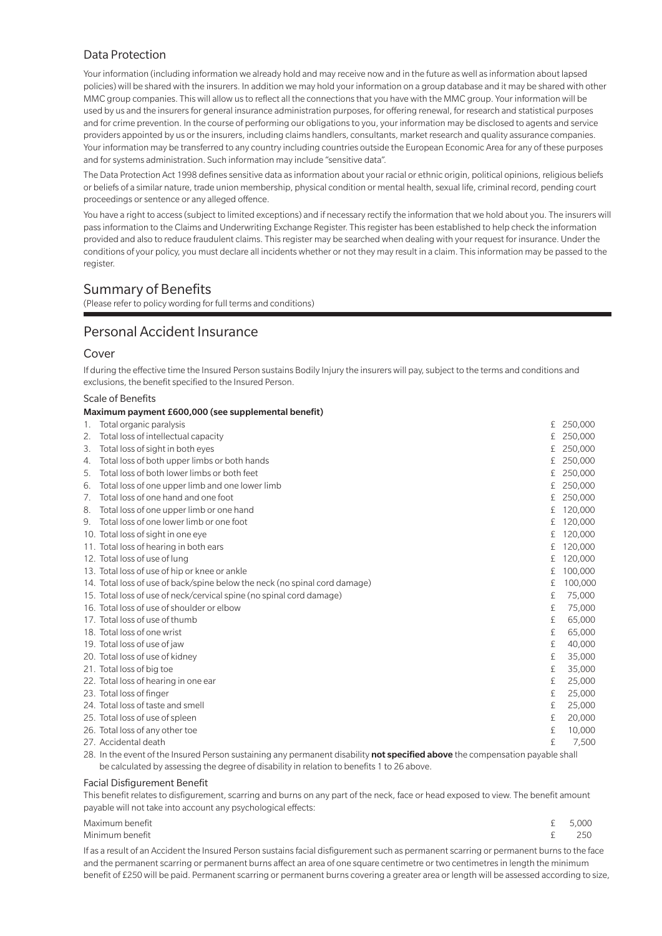## Data Protection

Your information (including information we already hold and may receive now and in the future as well as information about lapsed policies) will be shared with the insurers. In addition we may hold your information on a group database and it may be shared with other MMC group companies. This will allow us to reflect all the connections that you have with the MMC group. Your information will be used by us and the insurers for general insurance administration purposes, for offering renewal, for research and statistical purposes and for crime prevention. In the course of performing our obligations to you, your information may be disclosed to agents and service providers appointed by us or the insurers, including claims handlers, consultants, market research and quality assurance companies. Your information may be transferred to any country including countries outside the European Economic Area for any of these purposes and for systems administration. Such information may include "sensitive data".

The Data Protection Act 1998 defines sensitive data as information about your racial or ethnic origin, political opinions, religious beliefs or beliefs of a similar nature, trade union membership, physical condition or mental health, sexual life, criminal record, pending court proceedings or sentence or any alleged offence.

You have a right to access (subject to limited exceptions) and if necessary rectify the information that we hold about you. The insurers will pass information to the Claims and Underwriting Exchange Register. This register has been established to help check the information provided and also to reduce fraudulent claims. This register may be searched when dealing with your request for insurance. Under the conditions of your policy, you must declare all incidents whether or not they may result in a claim. This information may be passed to the register.

## Summary of Benefits

(Please refer to policy wording for full terms and conditions)

## Personal Accident Insurance

#### Cover

If during the effective time the Insured Person sustains Bodily Injury the insurers will pay, subject to the terms and conditions and exclusions, the benefit specified to the Insured Person.

#### Scale of Benefits

#### Maximum payment £600,000 (see supplemental benefit) 1. Total organic paralysis £ 250,000 2. Total loss of intellectual capacity and the control of the control of the control of the control of the control of the control of the control of the control of the control of the control of the control of the control of 3. Total loss of sight in both eyes **E** 250,000 4. Total loss of both upper limbs or both hands £ 250,000 5. Total loss of both lower limbs or both feet **Example 250,000** and the state  $\pm 250,000$ 6. Total loss of one upper limb and one lower limb **E** 250,000 7. Total loss of one hand and one foot **E** 250,000 8. Total loss of one upper limb or one hand **E** 120,000 9. Total loss of one lower limb or one foot £ 120,000 10. Total loss of sight in one eye **E** 120,000 11. Total loss of hearing in both ears £ 120,000 12. Total loss of use of lung  $\pm$  120.000 13. Total loss of use of hip or knee or ankle **E** 100,000 14. Total loss of use of back/spine below the neck (no spinal cord damage) £ 100,000 15. Total loss of use of neck/cervical spine (no spinal cord damage) £ 75,000 16. Total loss of use of shoulder or elbow £ 75,000 17. Total loss of use of thumb **E** 65,000 18. Total loss of one wrist  $\frac{1}{2}$  65,000 19. Total loss of use of jaw £ 40,000 20. Total loss of use of kidney £ 35,000 21. Total loss of big toe  $\overline{2}$  35,000 22. Total loss of hearing in one ear **25,000** ear **25,000** ear **25,000** ear **25,000** 23. Total loss of finger  $\epsilon$  25,000 24. Total loss of taste and smell **Equation**  $\epsilon$  25,000  $\epsilon$ 25. Total loss of use of spleen £ 20,000 26. Total loss of any other toe £ 10,000 27. Accidental death  $\epsilon$  7.500

28. In the event of the Insured Person sustaining any permanent disability not specified above the compensation payable shall be calculated by assessing the degree of disability in relation to benefits 1 to 26 above.

#### Facial Disfigurement Benefit

This benefit relates to disfigurement, scarring and burns on any part of the neck, face or head exposed to view. The benefit amount payable will not take into account any psychological effects:

| Maximum benefit | £ 5.000 |
|-----------------|---------|
| Minimum benefit | f 250   |
|                 |         |

If as a result of an Accident the Insured Person sustains facial disfigurement such as permanent scarring or permanent burns to the face and the permanent scarring or permanent burns affect an area of one square centimetre or two centimetres in length the minimum benefit of £250 will be paid. Permanent scarring or permanent burns covering a greater area or length will be assessed according to size,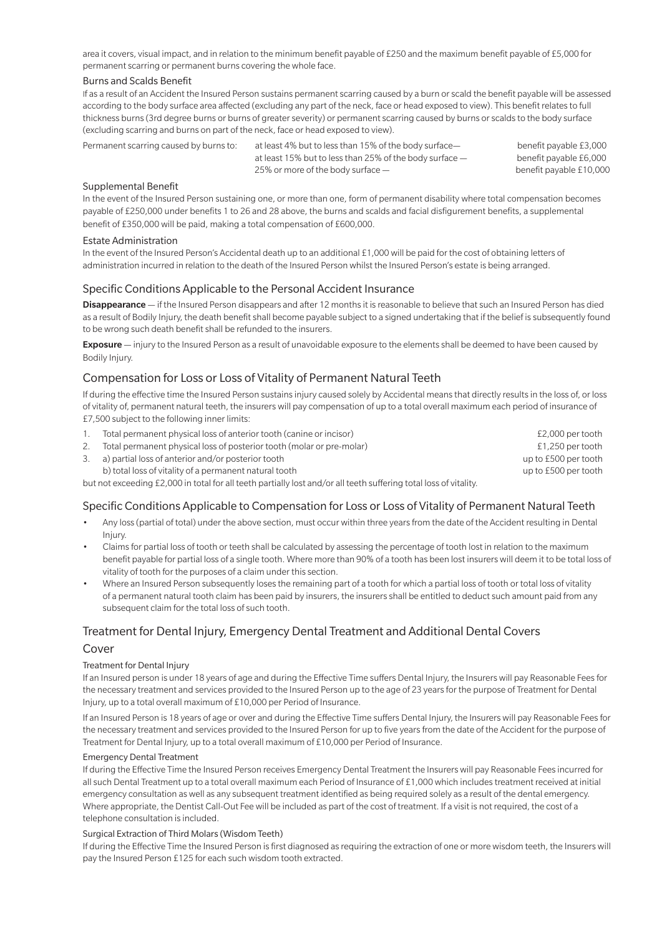area it covers, visual impact, and in relation to the minimum benefit payable of £250 and the maximum benefit payable of £5,000 for permanent scarring or permanent burns covering the whole face.

#### Burns and Scalds Benefit

If as a result of an Accident the Insured Person sustains permanent scarring caused by a burn or scald the benefit payable will be assessed according to the body surface area affected (excluding any part of the neck, face or head exposed to view). This benefit relates to full thickness burns (3rd degree burns or burns of greater severity) or permanent scarring caused by burns or scalds to the body surface (excluding scarring and burns on part of the neck, face or head exposed to view).

Permanent scarring caused by burns to: at least 4% but to less than 15% of the body surface— benefit payable £3,000 at least 15% but to less than 25% of the body surface — benefit payable £6,000 25% or more of the body surface — benefit payable £10,000

#### Supplemental Benefit

In the event of the Insured Person sustaining one, or more than one, form of permanent disability where total compensation becomes payable of £250,000 under benefits 1 to 26 and 28 above, the burns and scalds and facial disfigurement benefits, a supplemental benefit of £350,000 will be paid, making a total compensation of £600,000.

#### Estate Administration

In the event of the Insured Person's Accidental death up to an additional £1,000 will be paid for the cost of obtaining letters of administration incurred in relation to the death of the Insured Person whilst the Insured Person's estate is being arranged.

#### Specific Conditions Applicable to the Personal Accident Insurance

Disappearance — if the Insured Person disappears and after 12 months it is reasonable to believe that such an Insured Person has died as a result of Bodily Injury, the death benefit shall become payable subject to a signed undertaking that if the belief is subsequently found to be wrong such death benefit shall be refunded to the insurers.

Exposure — injury to the Insured Person as a result of unavoidable exposure to the elements shall be deemed to have been caused by Bodily Injury.

### Compensation for Loss or Loss of Vitality of Permanent Natural Teeth

If during the effective time the Insured Person sustains injury caused solely by Accidental means that directly results in the loss of, or loss of vitality of, permanent natural teeth, the insurers will pay compensation of up to a total overall maximum each period of insurance of £7,500 subject to the following inner limits:

| Total permanent physical loss of anterior tooth (canine or incisor)   | £2,000 per tooth     |
|-----------------------------------------------------------------------|----------------------|
| Total permanent physical loss of posterior tooth (molar or pre-molar) | £1,250 per tooth     |
| a) partial loss of anterior and/or posterior tooth                    | up to £500 per tooth |
| b) total loss of vitality of a permanent natural tooth                | up to £500 per tooth |
|                                                                       |                      |

but not exceeding £2,000 in total for all teeth partially lost and/or all teeth suffering total loss of vitality.

#### Specific Conditions Applicable to Compensation for Loss or Loss of Vitality of Permanent Natural Teeth

- Any loss (partial of total) under the above section, must occur within three years from the date of the Accident resulting in Dental Injury.
- Claims for partial loss of tooth or teeth shall be calculated by assessing the percentage of tooth lost in relation to the maximum benefit payable for partial loss of a single tooth. Where more than 90% of a tooth has been lost insurers will deem it to be total loss of vitality of tooth for the purposes of a claim under this section.
- Where an Insured Person subsequently loses the remaining part of a tooth for which a partial loss of tooth or total loss of vitality of a permanent natural tooth claim has been paid by insurers, the insurers shall be entitled to deduct such amount paid from any subsequent claim for the total loss of such tooth.

## Treatment for Dental Injury, Emergency Dental Treatment and Additional Dental Covers

#### Cover

#### Treatment for Dental Injury

If an Insured person is under 18 years of age and during the Effective Time suffers Dental Injury, the Insurers will pay Reasonable Fees for the necessary treatment and services provided to the Insured Person up to the age of 23 years for the purpose of Treatment for Dental Injury, up to a total overall maximum of £10,000 per Period of Insurance.

If an Insured Person is 18 years of age or over and during the Effective Time suffers Dental Injury, the Insurers will pay Reasonable Fees for the necessary treatment and services provided to the Insured Person for up to five years from the date of the Accident for the purpose of Treatment for Dental Injury, up to a total overall maximum of £10,000 per Period of Insurance.

#### Emergency Dental Treatment

If during the Effective Time the Insured Person receives Emergency Dental Treatment the Insurers will pay Reasonable Fees incurred for all such Dental Treatment up to a total overall maximum each Period of Insurance of £1,000 which includes treatment received at initial emergency consultation as well as any subsequent treatment identified as being required solely as a result of the dental emergency. Where appropriate, the Dentist Call-Out Fee will be included as part of the cost of treatment. If a visit is not required, the cost of a telephone consultation is included.

#### Surgical Extraction of Third Molars (Wisdom Teeth)

If during the Effective Time the Insured Person is first diagnosed as requiring the extraction of one or more wisdom teeth, the Insurers will pay the Insured Person £125 for each such wisdom tooth extracted.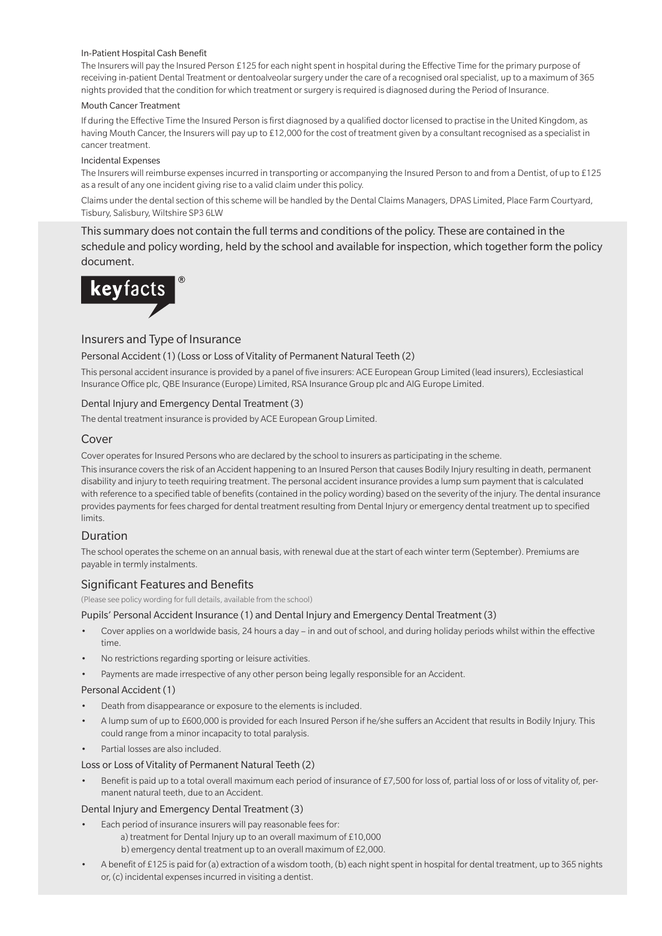#### In-Patient Hospital Cash Benefit

The Insurers will pay the Insured Person £125 for each night spent in hospital during the Effective Time for the primary purpose of receiving in-patient Dental Treatment or dentoalveolar surgery under the care of a recognised oral specialist, up to a maximum of 365 nights provided that the condition for which treatment or surgery is required is diagnosed during the Period of Insurance.

#### Mouth Cancer Treatment

If during the Effective Time the Insured Person is first diagnosed by a qualified doctor licensed to practise in the United Kingdom, as having Mouth Cancer, the Insurers will pay up to £12,000 for the cost of treatment given by a consultant recognised as a specialist in cancer treatment.

#### Incidental Expenses

The Insurers will reimburse expenses incurred in transporting or accompanying the Insured Person to and from a Dentist, of up to £125 as a result of any one incident giving rise to a valid claim under this policy.

Claims under the dental section of this scheme will be handled by the Dental Claims Managers, DPAS Limited, Place Farm Courtyard, Tisbury, Salisbury, Wiltshire SP3 6LW

This summary does not contain the full terms and conditions of the policy. These are contained in the schedule and policy wording, held by the school and available for inspection, which together form the policy document.



## Insurers and Type of Insurance

#### Personal Accident (1) (Loss or Loss of Vitality of Permanent Natural Teeth (2)

This personal accident insurance is provided by a panel of five insurers: ACE European Group Limited (lead insurers), Ecclesiastical Insurance Office plc, QBE Insurance (Europe) Limited, RSA Insurance Group plc and AIG Europe Limited.

#### Dental Injury and Emergency Dental Treatment (3)

The dental treatment insurance is provided by ACE European Group Limited.

#### Cover

Cover operates for Insured Persons who are declared by the school to insurers as participating in the scheme.

This insurance covers the risk of an Accident happening to an Insured Person that causes Bodily Injury resulting in death, permanent disability and injury to teeth requiring treatment. The personal accident insurance provides a lump sum payment that is calculated with reference to a specified table of benefits (contained in the policy wording) based on the severity of the injury. The dental insurance provides payments for fees charged for dental treatment resulting from Dental Injury or emergency dental treatment up to specified limits.

#### Duration

The school operates the scheme on an annual basis, with renewal due at the start of each winter term (September). Premiums are payable in termly instalments.

#### Significant Features and Benefits

(Please see policy wording for full details, available from the school)

Pupils' Personal Accident Insurance (1) and Dental Injury and Emergency Dental Treatment (3)

- Cover applies on a worldwide basis, 24 hours a day in and out of school, and during holiday periods whilst within the effective time.
- No restrictions regarding sporting or leisure activities.
- Payments are made irrespective of any other person being legally responsible for an Accident.

#### Personal Accident (1)

- Death from disappearance or exposure to the elements is included.
- A lump sum of up to £600,000 is provided for each Insured Person if he/she suffers an Accident that results in Bodily Injury. This could range from a minor incapacity to total paralysis.
- Partial losses are also included.

#### Loss or Loss of Vitality of Permanent Natural Teeth (2)

• Benefit is paid up to a total overall maximum each period of insurance of £7,500 for loss of, partial loss of or loss of vitality of, permanent natural teeth, due to an Accident.

#### Dental Injury and Emergency Dental Treatment (3)

- Each period of insurance insurers will pay reasonable fees for:
	- a) treatment for Dental Injury up to an overall maximum of £10,000
	- b) emergency dental treatment up to an overall maximum of £2,000.
- A benefit of £125 is paid for (a) extraction of a wisdom tooth, (b) each night spent in hospital for dental treatment, up to 365 nights or, (c) incidental expenses incurred in visiting a dentist.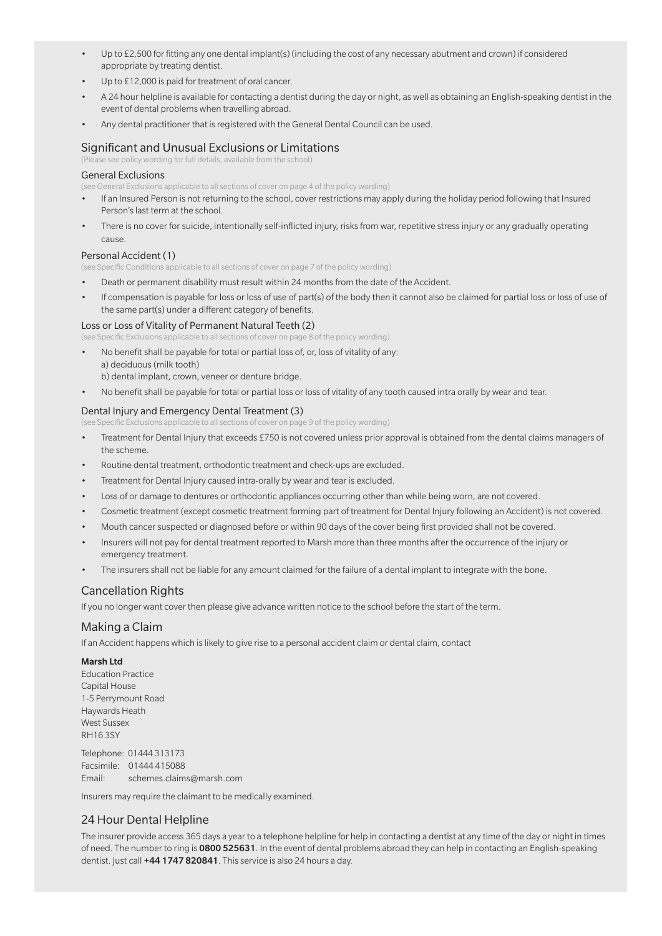- Up to £2,500 for fitting any one dental implant(s) (including the cost of any necessary abutment and crown) if considered appropriate by treating dentist.
- Up to £12,000 is paid for treatment of oral cancer.
- A 24 hour helpline is available for contacting a dentist during the day or night, as well as obtaining an English-speaking dentist in the event of dental problems when travelling abroad.
- Any dental practitioner that is registered with the General Dental Council can be used.

## Significant and Unusual Exclusions or Limitations

(Please see policy wording for full details, available from the school)

#### General Exclusions

(see General Exclusions applicable to all sections of cover on page 4 of the policy wording)

- If an Insured Person is not returning to the school, cover restrictions may apply during the holiday period following that Insured Person's last term at the school.
- There is no cover for suicide, intentionally self-inflicted injury, risks from war, repetitive stress injury or any gradually operating cause.

#### Personal Accident (1)

(see Specific Conditions applicable to all sections of cover on page 7 of the policy wording)

- Death or permanent disability must result within 24 months from the date of the Accident.
- If compensation is payable for loss or loss of use of part(s) of the body then it cannot also be claimed for partial loss or loss of use of the same part(s) under a different category of benefits.

#### Loss or Loss of Vitality of Permanent Natural Teeth (2)

(see Specific Exclusions applicable to all sections of cover on page 8 of the policy wording)

- No benefit shall be payable for total or partial loss of, or, loss of vitality of any: a) deciduous (milk tooth) b) dental implant, crown, veneer or denture bridge.
- No benefit shall be payable for total or partial loss or loss of vitality of any tooth caused intra orally by wear and tear.

#### Dental Injury and Emergency Dental Treatment (3)

(see Specific Exclusions applicable to all sections of cover on page 9 of the policy wording)

- Treatment for Dental Injury that exceeds £750 is not covered unless prior approval is obtained from the dental claims managers of the scheme.
- Routine dental treatment, orthodontic treatment and check-ups are excluded.
- Treatment for Dental Injury caused intra-orally by wear and tear is excluded.
- Loss of or damage to dentures or orthodontic appliances occurring other than while being worn, are not covered.
- Cosmetic treatment (except cosmetic treatment forming part of treatment for Dental Injury following an Accident) is not covered.
- Mouth cancer suspected or diagnosed before or within 90 days of the cover being first provided shall not be covered.
- Insurers will not pay for dental treatment reported to Marsh more than three months after the occurrence of the injury or emergency treatment.
- The insurers shall not be liable for any amount claimed for the failure of a dental implant to integrate with the bone.

#### Cancellation Rights

If you no longer want cover then please give advance written notice to the school before the start of the term.

#### Making a Claim

If an Accident happens which is likely to give rise to a personal accident claim or dental claim, contact

#### Marsh Ltd

Education Practice Capital House 1-5 Perrymount Road Haywards Heath West Sussex RH16 3SY

Telephone: 01444 313173 Facsimile: 01444 415088 Email: schemes.claims@marsh.com

Insurers may require the claimant to be medically examined.

#### 24 Hour Dental Helpline

The insurer provide access 365 days a year to a telephone helpline for help in contacting a dentist at any time of the day or night in times of need. The number to ring is 0800 525631. In the event of dental problems abroad they can help in contacting an English-speaking dentist. Just call +44 1747 820841. This service is also 24 hours a day.